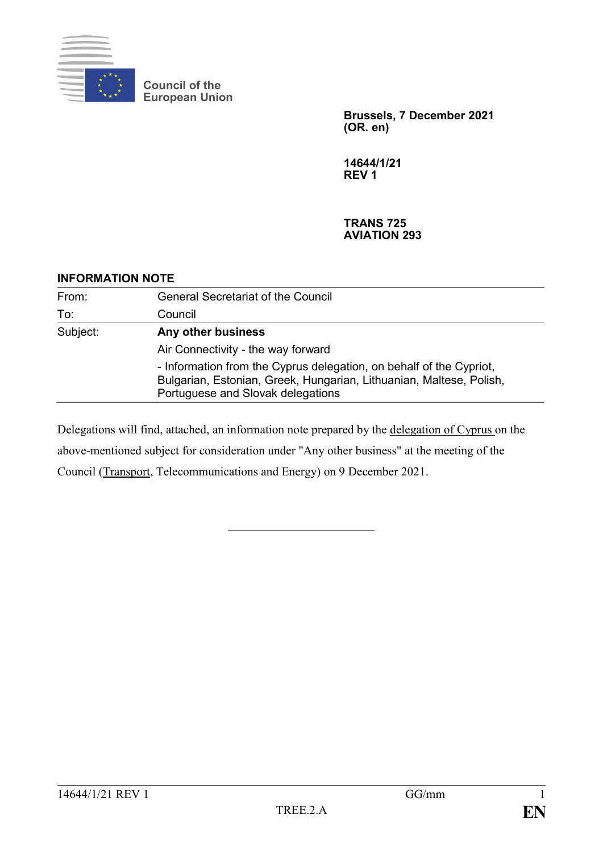

**Council of the European Union**

> **Brussels, 7 December 2021 (OR. en)**

**14644/1/21 REV 1**

## **TRANS 725 AVIATION 293**

## **INFORMATION NOTE**

| From:    | <b>General Secretariat of the Council</b>                                                                                                                                       |
|----------|---------------------------------------------------------------------------------------------------------------------------------------------------------------------------------|
| To:      | Council                                                                                                                                                                         |
| Subject: | Any other business                                                                                                                                                              |
|          | Air Connectivity - the way forward                                                                                                                                              |
|          | - Information from the Cyprus delegation, on behalf of the Cypriot,<br>Bulgarian, Estonian, Greek, Hungarian, Lithuanian, Maltese, Polish,<br>Portuguese and Slovak delegations |

Delegations will find, attached, an information note prepared by the delegation of Cyprus on the above-mentioned subject for consideration under "Any other business" at the meeting of the Council (Transport, Telecommunications and Energy) on 9 December 2021.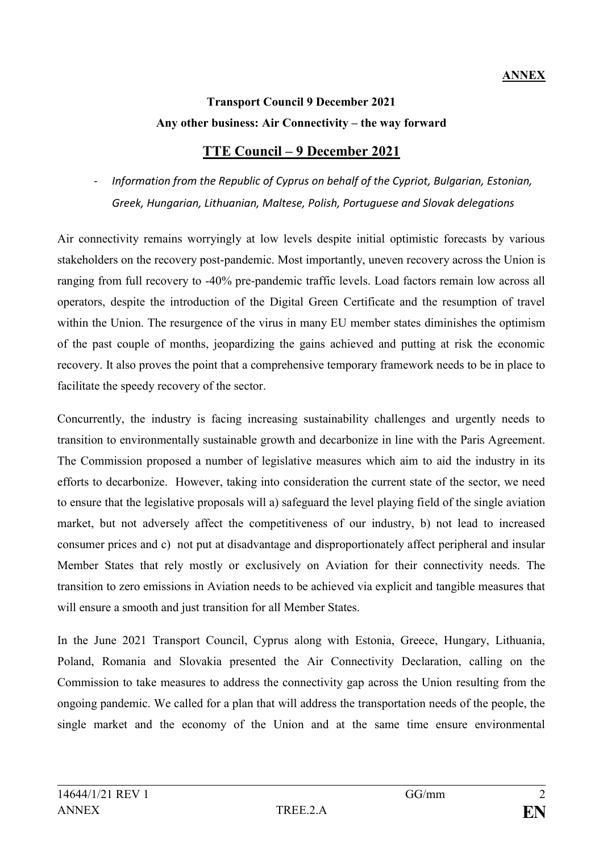## **Transport Council 9 December 2021 Any other business: Air Connectivity – the way forward**

## **TTE Council – 9 December 2021**

- *Information from the Republic of Cyprus on behalf of the Cypriot, Bulgarian, Estonian, Greek, Hungarian, Lithuanian, Maltese, Polish, Portuguese and Slovak delegations*

Air connectivity remains worryingly at low levels despite initial optimistic forecasts by various stakeholders on the recovery post-pandemic. Most importantly, uneven recovery across the Union is ranging from full recovery to -40% pre-pandemic traffic levels. Load factors remain low across all operators, despite the introduction of the Digital Green Certificate and the resumption of travel within the Union. The resurgence of the virus in many EU member states diminishes the optimism of the past couple of months, jeopardizing the gains achieved and putting at risk the economic recovery. It also proves the point that a comprehensive temporary framework needs to be in place to facilitate the speedy recovery of the sector.

Concurrently, the industry is facing increasing sustainability challenges and urgently needs to transition to environmentally sustainable growth and decarbonize in line with the Paris Agreement. The Commission proposed a number of legislative measures which aim to aid the industry in its efforts to decarbonize. However, taking into consideration the current state of the sector, we need to ensure that the legislative proposals will a) safeguard the level playing field of the single aviation market, but not adversely affect the competitiveness of our industry, b) not lead to increased consumer prices and c) not put at disadvantage and disproportionately affect peripheral and insular Member States that rely mostly or exclusively on Aviation for their connectivity needs. The transition to zero emissions in Aviation needs to be achieved via explicit and tangible measures that will ensure a smooth and just transition for all Member States.

In the June 2021 Transport Council, Cyprus along with Estonia, Greece, Hungary, Lithuania, Poland, Romania and Slovakia presented the Air Connectivity Declaration, calling on the Commission to take measures to address the connectivity gap across the Union resulting from the ongoing pandemic. We called for a plan that will address the transportation needs of the people, the single market and the economy of the Union and at the same time ensure environmental